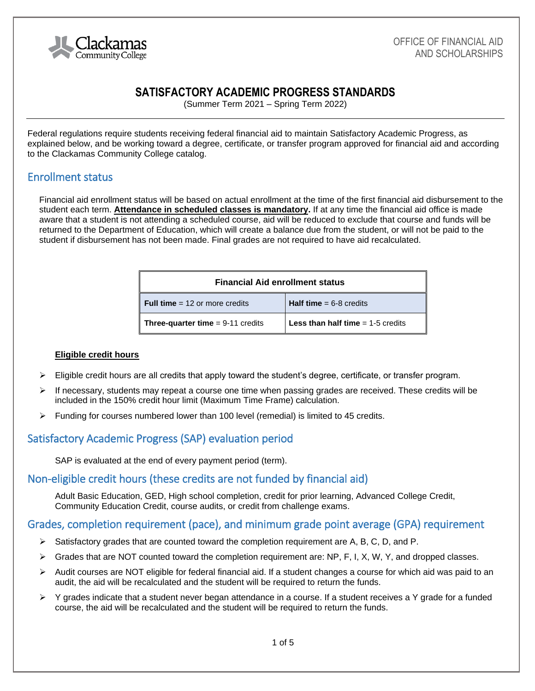

# **SATISFACTORY ACADEMIC PROGRESS STANDARDS**

(Summer Term 2021 – Spring Term 2022)

Federal regulations require students receiving federal financial aid to maintain Satisfactory Academic Progress, as explained below, and be working toward a degree, certificate, or transfer program approved for financial aid and according to the Clackamas Community College catalog.

## Enrollment status

Financial aid enrollment status will be based on actual enrollment at the time of the first financial aid disbursement to the student each term. **Attendance in scheduled classes is mandatory.** If at any time the financial aid office is made aware that a student is not attending a scheduled course, aid will be reduced to exclude that course and funds will be returned to the Department of Education, which will create a balance due from the student, or will not be paid to the student if disbursement has not been made. Final grades are not required to have aid recalculated.

| <b>Financial Aid enrollment status</b>     |                                                       |
|--------------------------------------------|-------------------------------------------------------|
| <b>Full time</b> = 12 or more credits      | <b>Half time</b> $= 6-8$ credits                      |
| <b>Three-quarter time</b> $= 9-11$ credits | <b>Less than half time <math>= 1.5</math> credits</b> |

#### **Eligible credit hours**

- $\triangleright$  Eligible credit hours are all credits that apply toward the student's degree, certificate, or transfer program.
- $\triangleright$  If necessary, students may repeat a course one time when passing grades are received. These credits will be included in the 150% credit hour limit (Maximum Time Frame) calculation.
- $\triangleright$  Funding for courses numbered lower than 100 level (remedial) is limited to 45 credits.

# Satisfactory Academic Progress (SAP) evaluation period

SAP is evaluated at the end of every payment period (term).

## Non-eligible credit hours (these credits are not funded by financial aid)

Adult Basic Education, GED, High school completion, credit for prior learning, Advanced College Credit, Community Education Credit, course audits, or credit from challenge exams.

## Grades, completion requirement (pace), and minimum grade point average (GPA) requirement

- $\triangleright$  Satisfactory grades that are counted toward the completion requirement are A, B, C, D, and P.
- ➢ Grades that are NOT counted toward the completion requirement are: NP, F, I, X, W, Y, and dropped classes.
- $\triangleright$  Audit courses are NOT eligible for federal financial aid. If a student changes a course for which aid was paid to an audit, the aid will be recalculated and the student will be required to return the funds.
- $\triangleright$  Y grades indicate that a student never began attendance in a course. If a student receives a Y grade for a funded course, the aid will be recalculated and the student will be required to return the funds.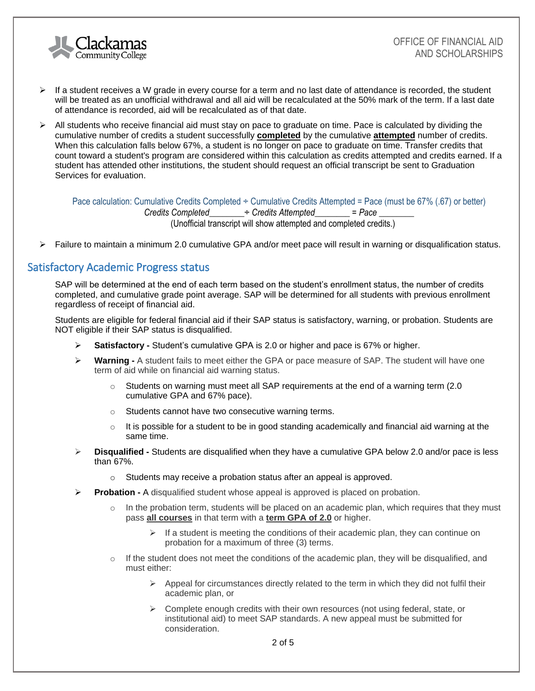

- $\triangleright$  If a student receives a W grade in every course for a term and no last date of attendance is recorded, the student will be treated as an unofficial withdrawal and all aid will be recalculated at the 50% mark of the term. If a last date of attendance is recorded, aid will be recalculated as of that date.
- $\triangleright$  All students who receive financial aid must stay on pace to graduate on time. Pace is calculated by dividing the cumulative number of credits a student successfully **completed** by the cumulative **attempted** number of credits. When this calculation falls below 67%, a student is no longer on pace to graduate on time. Transfer credits that count toward a student's program are considered within this calculation as credits attempted and credits earned. If a student has attended other institutions, the student should request an official transcript be sent to Graduation Services for evaluation.

Pace calculation: Cumulative Credits Completed ÷ Cumulative Credits Attempted = Pace (must be 67% (.67) or better) *Credits Completed*\_\_\_\_\_\_\_\_÷ *Credits Attempted*\_\_\_\_\_\_\_\_ = *Pace* \_\_\_\_\_\_\_\_ (Unofficial transcript will show attempted and completed credits.)

➢ Failure to maintain a minimum 2.0 cumulative GPA and/or meet pace will result in warning or disqualification status.

## Satisfactory Academic Progress status

SAP will be determined at the end of each term based on the student's enrollment status, the number of credits completed, and cumulative grade point average. SAP will be determined for all students with previous enrollment regardless of receipt of financial aid.

Students are eligible for federal financial aid if their SAP status is satisfactory, warning, or probation. Students are NOT eligible if their SAP status is disqualified.

- **Satisfactory -** Student's cumulative GPA is 2.0 or higher and pace is 67% or higher.
- ➢ **Warning -** A student fails to meet either the GPA or pace measure of SAP. The student will have one term of aid while on financial aid warning status.
	- $\circ$  Students on warning must meet all SAP requirements at the end of a warning term (2.0) cumulative GPA and 67% pace).
	- o Students cannot have two consecutive warning terms.
	- $\circ$  It is possible for a student to be in good standing academically and financial aid warning at the same time.
- ➢ **Disqualified -** Students are disqualified when they have a cumulative GPA below 2.0 and/or pace is less than 67%.
	- o Students may receive a probation status after an appeal is approved.
- ➢ **Probation -** A disqualified student whose appeal is approved is placed on probation.
	- $\circ$  In the probation term, students will be placed on an academic plan, which requires that they must pass **all courses** in that term with a **term GPA of 2.0** or higher.
		- $\triangleright$  If a student is meeting the conditions of their academic plan, they can continue on probation for a maximum of three (3) terms.
	- $\circ$  If the student does not meet the conditions of the academic plan, they will be disqualified, and must either:
		- $\triangleright$  Appeal for circumstances directly related to the term in which they did not fulfil their academic plan, or
		- ➢ Complete enough credits with their own resources (not using federal, state, or institutional aid) to meet SAP standards. A new appeal must be submitted for consideration.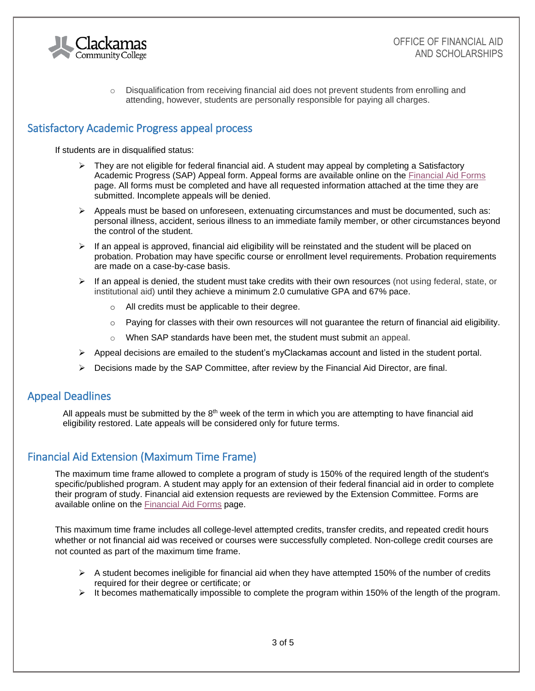

 $\circ$  Disqualification from receiving financial aid does not prevent students from enrolling and attending, however, students are personally responsible for paying all charges.

# Satisfactory Academic Progress appeal process

If students are in disqualified status:

- $\triangleright$  They are not eligible for federal financial aid. A student may appeal by completing a Satisfactory Academic Progress (SAP) Appeal form. Appeal forms are available online on the [Financial Aid Forms](http://www.clackamas.edu/admissions-financial-aid/financial-aid-scholarships/financial-aid-forms) page. All forms must be completed and have all requested information attached at the time they are submitted. Incomplete appeals will be denied.
- $\triangleright$  Appeals must be based on unforeseen, extenuating circumstances and must be documented, such as: personal illness, accident, serious illness to an immediate family member, or other circumstances beyond the control of the student.
- $\triangleright$  If an appeal is approved, financial aid eligibility will be reinstated and the student will be placed on probation. Probation may have specific course or enrollment level requirements. Probation requirements are made on a case-by-case basis.
- $\triangleright$  If an appeal is denied, the student must take credits with their own resources (not using federal, state, or institutional aid) until they achieve a minimum 2.0 cumulative GPA and 67% pace.
	- o All credits must be applicable to their degree.
	- $\circ$  Paying for classes with their own resources will not guarantee the return of financial aid eligibility.
	- o When SAP standards have been met, the student must submit an appeal.
- $\triangleright$  Appeal decisions are emailed to the student's myClackamas account and listed in the student portal.
- $\triangleright$  Decisions made by the SAP Committee, after review by the Financial Aid Director, are final.

# Appeal Deadlines

All appeals must be submitted by the  $8<sup>th</sup>$  week of the term in which you are attempting to have financial aid eligibility restored. Late appeals will be considered only for future terms.

## Financial Aid Extension (Maximum Time Frame)

The maximum time frame allowed to complete a program of study is 150% of the required length of the student's specific/published program. A student may apply for an extension of their federal financial aid in order to complete their program of study. Financial aid extension requests are reviewed by the Extension Committee. Forms are available online on the [Financial Aid Forms](http://www.clackamas.edu/admissions-financial-aid/financial-aid-scholarships/financial-aid-forms) page.

This maximum time frame includes all college-level attempted credits, transfer credits, and repeated credit hours whether or not financial aid was received or courses were successfully completed. Non-college credit courses are not counted as part of the maximum time frame.

- $\triangleright$  A student becomes ineligible for financial aid when they have attempted 150% of the number of credits required for their degree or certificate; or
- $\triangleright$  It becomes mathematically impossible to complete the program within 150% of the length of the program.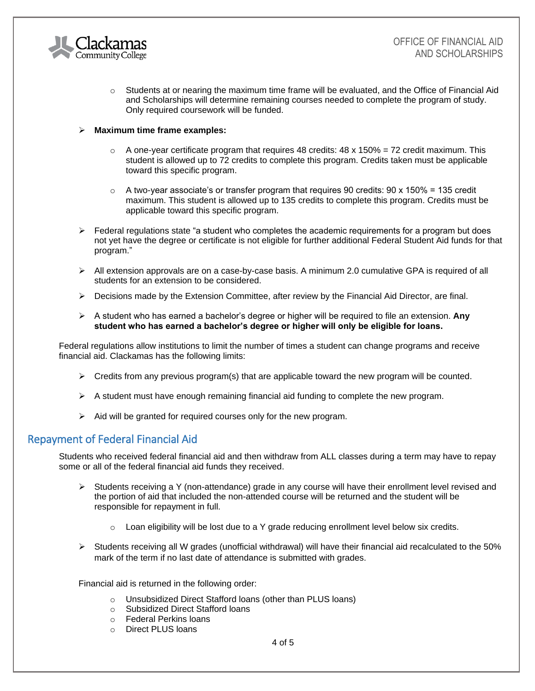

 $\circ$  Students at or nearing the maximum time frame will be evaluated, and the Office of Financial Aid and Scholarships will determine remaining courses needed to complete the program of study. Only required coursework will be funded.

#### ➢ **Maximum time frame examples:**

- $\circ$  A one-year certificate program that requires 48 credits: 48 x 150% = 72 credit maximum. This student is allowed up to 72 credits to complete this program. Credits taken must be applicable toward this specific program.
- $\circ$  A two-year associate's or transfer program that requires 90 credits: 90 x 150% = 135 credit maximum. This student is allowed up to 135 credits to complete this program. Credits must be applicable toward this specific program.
- $\triangleright$  Federal regulations state "a student who completes the academic requirements for a program but does not yet have the degree or certificate is not eligible for further additional Federal Student Aid funds for that program."
- $\triangleright$  All extension approvals are on a case-by-case basis. A minimum 2.0 cumulative GPA is required of all students for an extension to be considered.
- $\triangleright$  Decisions made by the Extension Committee, after review by the Financial Aid Director, are final.
- ➢ A student who has earned a bachelor's degree or higher will be required to file an extension. **Any student who has earned a bachelor's degree or higher will only be eligible for loans.**

Federal regulations allow institutions to limit the number of times a student can change programs and receive financial aid. Clackamas has the following limits:

- $\triangleright$  Credits from any previous program(s) that are applicable toward the new program will be counted.
- $\triangleright$  A student must have enough remaining financial aid funding to complete the new program.
- $\triangleright$  Aid will be granted for required courses only for the new program.

## Repayment of Federal Financial Aid

Students who received federal financial aid and then withdraw from ALL classes during a term may have to repay some or all of the federal financial aid funds they received.

- ➢ Students receiving a Y (non-attendance) grade in any course will have their enrollment level revised and the portion of aid that included the non-attended course will be returned and the student will be responsible for repayment in full.
	- $\circ$  Loan eligibility will be lost due to a Y grade reducing enrollment level below six credits.
- $\triangleright$  Students receiving all W grades (unofficial withdrawal) will have their financial aid recalculated to the 50% mark of the term if no last date of attendance is submitted with grades.

Financial aid is returned in the following order:

- o Unsubsidized Direct Stafford loans (other than PLUS loans)
- o Subsidized Direct Stafford loans
- o Federal Perkins loans
- o Direct PLUS loans